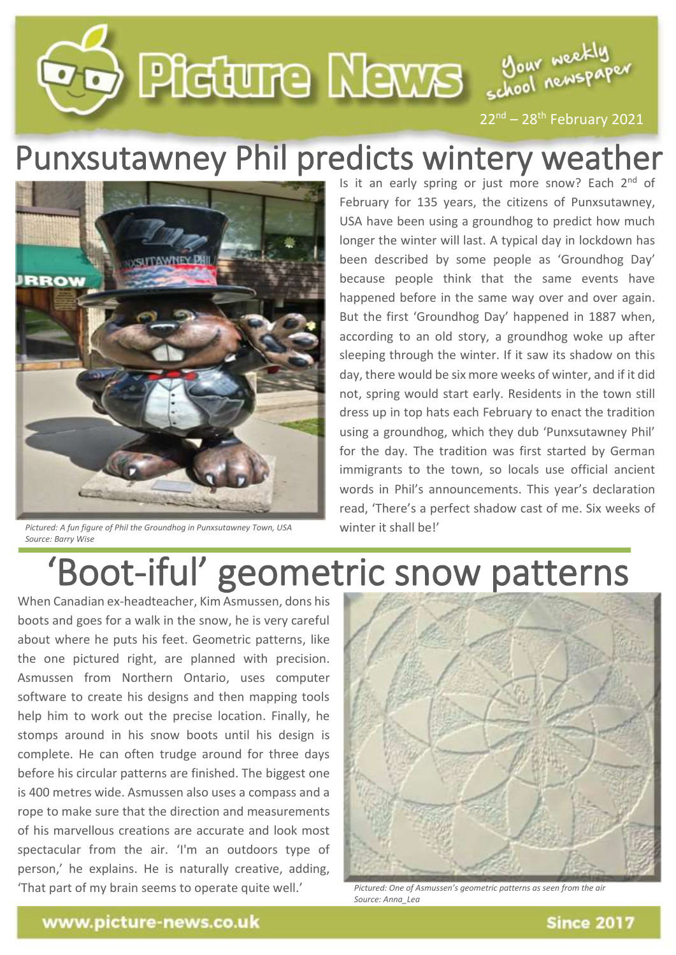

## Punxsutawney Phil predicts wintery weather



*Pictured: A fun figure of Phil the Groundhog in Punxsutawney Town, USA Source: Barry Wise*

Is it an early spring or just more snow? Each 2<sup>nd</sup> of February for 135 years, the citizens of Punxsutawney, USA have been using a groundhog to predict how much longer the winter will last. A typical day in lockdown has been described by some people as 'Groundhog Day' because people think that the same events have happened before in the same way over and over again. But the first 'Groundhog Day' happened in 1887 when, according to an old story, a groundhog woke up after sleeping through the winter. If it saw its shadow on this day, there would be six more weeks of winter, and if it did not, spring would start early. Residents in the town still dress up in top hats each February to enact the tradition using a groundhog, which they dub 'Punxsutawney Phil' for the day. The tradition was first started by German immigrants to the town, so locals use official ancient words in Phil's announcements. This year's declaration read, 'There's a perfect shadow cast of me. Six weeks of winter it shall be!'

## 'Boot-iful' geometric snow patterns

When Canadian ex-headteacher, Kim Asmussen, dons his boots and goes for a walk in the snow, he is very careful about where he puts his feet. Geometric patterns, like the one pictured right, are planned with precision. Asmussen from Northern Ontario, uses computer software to create his designs and then mapping tools help him to work out the precise location. Finally, he stomps around in his snow boots until his design is complete. He can often trudge around for three days before his circular patterns are finished. The biggest one is 400 metres wide. Asmussen also uses a compass and a rope to make sure that the direction and measurements of his marvellous creations are accurate and look most spectacular from the air. 'I'm an outdoors type of person,' he explains. He is naturally creative, adding, 'That part of my brain seems to operate quite well.'



*Pictured: One of Asmussen's geometric patterns as seen from the air Source: Anna\_Lea*